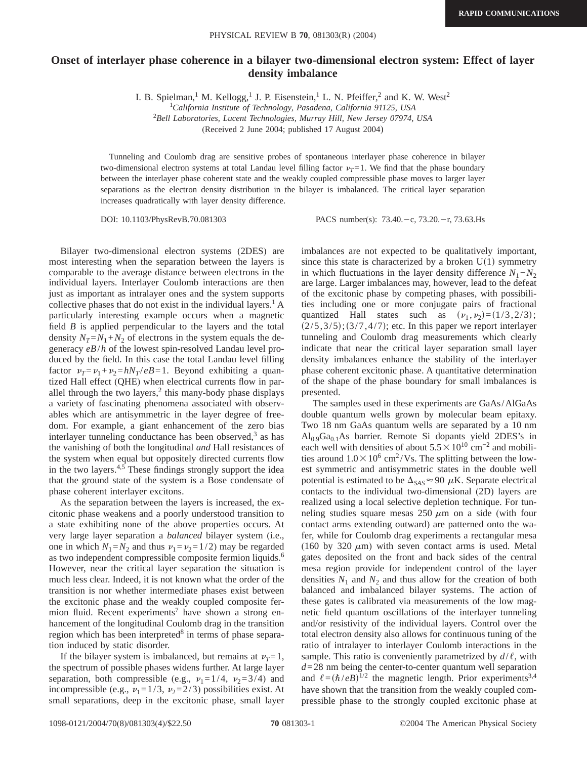## **Onset of interlayer phase coherence in a bilayer two-dimensional electron system: Effect of layer density imbalance**

I. B. Spielman,<sup>1</sup> M. Kellogg,<sup>1</sup> J. P. Eisenstein,<sup>1</sup> L. N. Pfeiffer,<sup>2</sup> and K. W. West<sup>2</sup>

1 *California Institute of Technology, Pasadena, California 91125, USA* <sup>2</sup>*Bell Laboratories, Lucent Technologies, Murray Hill, New Jersey 07974, USA*

(Received 2 June 2004; published 17 August 2004)

Tunneling and Coulomb drag are sensitive probes of spontaneous interlayer phase coherence in bilayer two-dimensional electron systems at total Landau level filling factor  $\nu_T=1$ . We find that the phase boundary between the interlayer phase coherent state and the weakly coupled compressible phase moves to larger layer separations as the electron density distribution in the bilayer is imbalanced. The critical layer separation increases quadratically with layer density difference.

DOI: 10.1103/PhysRevB.70.081303 PACS number(s): 73.40. - c, 73.20. - r, 73.63.Hs

Bilayer two-dimensional electron systems (2DES) are most interesting when the separation between the layers is comparable to the average distance between electrons in the individual layers. Interlayer Coulomb interactions are then just as important as intralayer ones and the system supports collective phases that do not exist in the individual layers.<sup>1</sup> A particularly interesting example occurs when a magnetic field *B* is applied perpendicular to the layers and the total density  $N_T = N_1 + N_2$  of electrons in the system equals the degeneracy *eB*/*h* of the lowest spin-resolved Landau level produced by the field. In this case the total Landau level filling factor  $\nu_T = \nu_1 + \nu_2 = hN_T / eB = 1$ . Beyond exhibiting a quantized Hall effect (QHE) when electrical currents flow in parallel through the two layers, $2$  this many-body phase displays a variety of fascinating phenomena associated with observables which are antisymmetric in the layer degree of freedom. For example, a giant enhancement of the zero bias interlayer tunneling conductance has been observed, $3$  as has the vanishing of both the longitudinal *and* Hall resistances of the system when equal but oppositely directed currents flow in the two layers. $4,5$  These findings strongly support the idea that the ground state of the system is a Bose condensate of phase coherent interlayer excitons.

As the separation between the layers is increased, the excitonic phase weakens and a poorly understood transition to a state exhibiting none of the above properties occurs. At very large layer separation a *balanced* bilayer system (i.e., one in which  $N_1=N_2$  and thus  $\nu_1=\nu_2=1/2$ ) may be regarded as two independent compressible composite fermion liquids.<sup>6</sup> However, near the critical layer separation the situation is much less clear. Indeed, it is not known what the order of the transition is nor whether intermediate phases exist between the excitonic phase and the weakly coupled composite fermion fluid. Recent experiments<sup>7</sup> have shown a strong enhancement of the longitudinal Coulomb drag in the transition region which has been interpreted<sup>8</sup> in terms of phase separation induced by static disorder.

If the bilayer system is imbalanced, but remains at  $\nu_T=1$ , the spectrum of possible phases widens further. At large layer separation, both compressible (e.g.,  $v_1=1/4$ ,  $v_2=3/4$ ) and incompressible (e.g.,  $\nu_1=1/3$ ,  $\nu_2=2/3$ ) possibilities exist. At small separations, deep in the excitonic phase, small layer imbalances are not expected to be qualitatively important, since this state is characterized by a broken  $U(1)$  symmetry in which fluctuations in the layer density difference  $N_1 - N_2$ are large. Larger imbalances may, however, lead to the defeat of the excitonic phase by competing phases, with possibilities including one or more conjugate pairs of fractional quantized Hall states such as  $(\nu_1, \nu_2) = (1/3, 2/3)$ ;  $(2/5,3/5)$ ;  $(3/7,4/7)$ ; etc. In this paper we report interlayer tunneling and Coulomb drag measurements which clearly indicate that near the critical layer separation small layer density imbalances enhance the stability of the interlayer phase coherent excitonic phase. A quantitative determination of the shape of the phase boundary for small imbalances is presented.

The samples used in these experiments are GaAs/AlGaAs double quantum wells grown by molecular beam epitaxy. Two 18 nm GaAs quantum wells are separated by a 10 nm  $Al<sub>0.9</sub>Ga<sub>0.1</sub>As barrier. Remote Si dopants yield 2DES's in$ each well with densities of about  $5.5 \times 10^{10}$  cm<sup>-2</sup> and mobilities around  $1.0 \times 10^6$  cm<sup>2</sup>/Vs. The splitting between the lowest symmetric and antisymmetric states in the double well potential is estimated to be  $\Delta_{SAS} \approx 90 \mu K$ . Separate electrical contacts to the individual two-dimensional (2D) layers are realized using a local selective depletion technique. For tunneling studies square mesas  $250 \mu m$  on a side (with four contact arms extending outward) are patterned onto the wafer, while for Coulomb drag experiments a rectangular mesa (160 by 320  $\mu$ m) with seven contact arms is used. Metal gates deposited on the front and back sides of the central mesa region provide for independent control of the layer densities  $N_1$  and  $N_2$  and thus allow for the creation of both balanced and imbalanced bilayer systems. The action of these gates is calibrated via measurements of the low magnetic field quantum oscillations of the interlayer tunneling and/or resistivity of the individual layers. Control over the total electron density also allows for continuous tuning of the ratio of intralayer to interlayer Coulomb interactions in the sample. This ratio is conveniently parametrized by  $d/\ell$ , with  $d=28$  nm being the center-to-center quantum well separation and  $\ell = (\hbar / eB)^{1/2}$  the magnetic length. Prior experiments<sup>3,4</sup> have shown that the transition from the weakly coupled compressible phase to the strongly coupled excitonic phase at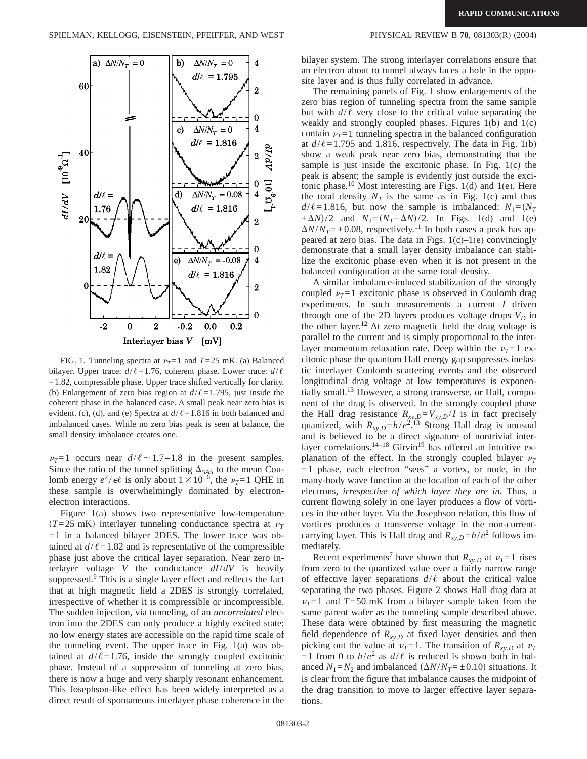

FIG. 1. Tunneling spectra at  $\nu_T=1$  and  $T=25$  mK. (a) Balanced bilayer. Upper trace:  $d/\ell = 1.76$ , coherent phase. Lower trace:  $d/\ell$  $=1.82$ , compressible phase. Upper trace shifted vertically for clarity. (b) Enlargement of zero bias region at  $d/\ell$ =1.795, just inside the coherent phase in the balanced case. A small peak near zero bias is evident. (c), (d), and (e) Spectra at  $d/\ell$  = 1.816 in both balanced and imbalanced cases. While no zero bias peak is seen at balance, the small density imbalance creates one.

 $\nu_T = 1$  occurs near  $d/\ell \sim 1.7-1.8$  in the present samples. Since the ratio of the tunnel splitting  $\Delta_{SAS}$  to the mean Coulomb energy  $e^2 / \epsilon \ell$  is only about  $1 \times 10^{-6}$ , the  $\nu_T = 1$  QHE in these sample is overwhelmingly dominated by electronelectron interactions.

Figure 1(a) shows two representative low-temperature  $(T=25 \text{ mK})$  interlayer tunneling conductance spectra at  $\nu$ <sup>T</sup>  $=1$  in a balanced bilayer 2DES. The lower trace was obtained at  $d/\ell$  = 1.82 and is representative of the compressible phase just above the critical layer separation. Near zero interlayer voltage *V* the conductance  $dI/dV$  is heavily suppressed.<sup>9</sup> This is a single layer effect and reflects the fact that at high magnetic field a 2DES is strongly correlated, irrespective of whether it is compressible or incompressible. The sudden injection, via tunneling, of an *uncorrelated* electron into the 2DES can only produce a highly excited state; no low energy states are accessible on the rapid time scale of the tunneling event. The upper trace in Fig. 1(a) was obtained at  $d/\ell = 1.76$ , inside the strongly coupled excitonic phase. Instead of a suppression of tunneling at zero bias, there is now a huge and very sharply resonant enhancement. This Josephson-like effect has been widely interpreted as a direct result of spontaneous interlayer phase coherence in the bilayer system. The strong interlayer correlations ensure that an electron about to tunnel always faces a hole in the opposite layer and is thus fully correlated in advance.

The remaining panels of Fig. 1 show enlargements of the zero bias region of tunneling spectra from the same sample but with  $d/\ell$  very close to the critical value separating the weakly and strongly coupled phases. Figures 1(b) and 1(c) contain  $\nu_T = 1$  tunneling spectra in the balanced configuration at  $d/\ell$ =1.795 and 1.816, respectively. The data in Fig. 1(b) show a weak peak near zero bias, demonstrating that the sample is just inside the excitonic phase. In Fig. 1(c) the peak is absent; the sample is evidently just outside the excitonic phase.<sup>10</sup> Most interesting are Figs. 1(d) and 1(e). Here the total density  $N_T$  is the same as in Fig. 1(c) and thus  $d/\ell = 1.816$ , but now the sample is imbalanced:  $N_1 = (N_T)$  $+\Delta N/2$  and  $N_2=(N_T-\Delta N)/2$ . In Figs. 1(d) and 1(e)  $\Delta N/N_T = \pm 0.08$ , respectively.<sup>11</sup> In both cases a peak has appeared at zero bias. The data in Figs.  $1(c)$ – $1(e)$  convincingly demonstrate that a small layer density imbalance can stabilize the excitonic phase even when it is not present in the balanced configuration at the same total density.

A similar imbalance-induced stabilization of the strongly coupled  $\nu_T=1$  excitonic phase is observed in Coulomb drag experiments. In such measurements a current *I* driven through one of the 2D layers produces voltage drops  $V_D$  in the other layer.<sup>12</sup> At zero magnetic field the drag voltage is parallel to the current and is simply proportional to the interlayer momentum relaxation rate. Deep within the  $\nu_T = 1$  excitonic phase the quantum Hall energy gap suppresses inelastic interlayer Coulomb scattering events and the observed longitudinal drag voltage at low temperatures is exponentially small.<sup>13</sup> However, a strong transverse, or Hall, component of the drag is observed. In the strongly coupled phase the Hall drag resistance  $R_{xy,D} = V_{xy,D}/I$  is in fact precisely quantized, with  $R_{xy,D} = h/e^{2.13}$  Strong Hall drag is unusual and is believed to be a direct signature of nontrivial interlayer correlations.<sup>14–18</sup> Girvin<sup>19</sup> has offered an intuitive explanation of the effect. In the strongly coupled bilayer  $\nu_T$ =1 phase, each electron "sees" a vortex, or node, in the many-body wave function at the location of each of the other electrons, *irrespective of which layer they are in*. Thus, a current flowing solely in one layer produces a flow of vortices in the other layer. Via the Josephson relation, this flow of vortices produces a transverse voltage in the non-currentcarrying layer. This is Hall drag and  $R_{xy,D} = h/e^2$  follows immediately.

Recent experiments<sup>7</sup> have shown that  $R_{xy,D}$  at  $\nu_T = 1$  rises from zero to the quantized value over a fairly narrow range of effective layer separations  $d/\ell$  about the critical value separating the two phases. Figure 2 shows Hall drag data at  $\nu_T = 1$  and  $T = 50$  mK from a bilayer sample taken from the same parent wafer as the tunneling sample described above. These data were obtained by first measuring the magnetic field dependence of  $R_{xy,D}$  at fixed layer densities and then picking out the value at  $\nu_T=1$ . The transition of  $R_{xv,D}$  at  $\nu_T$ =1 from 0 to  $h/e^2$  as  $d/\ell$  is reduced is shown both in balanced  $N_1 = N_2$  and imbalanced  $(\Delta N/N_T = \pm 0.10)$  situations. It is clear from the figure that imbalance causes the midpoint of the drag transition to move to larger effective layer separations.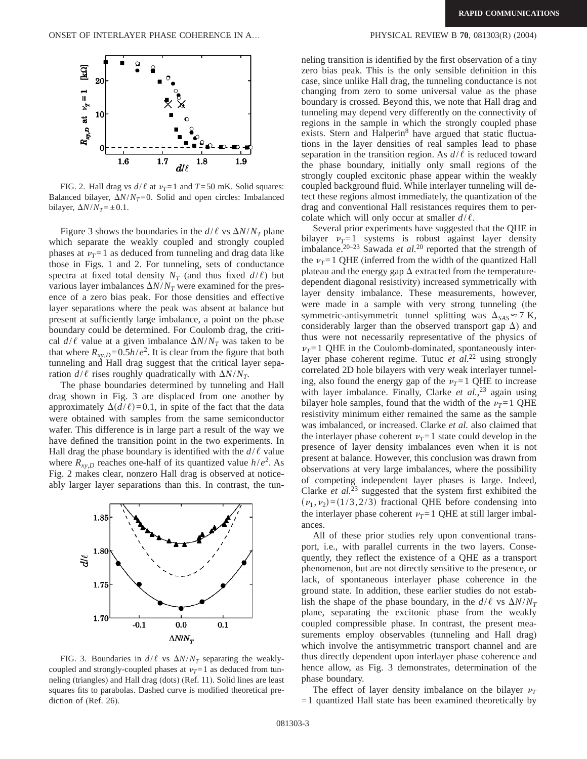

FIG. 2. Hall drag vs  $d/\ell$  at  $\nu_T = 1$  and  $T = 50$  mK. Solid squares: Balanced bilayer,  $\Delta N/N_T=0$ . Solid and open circles: Imbalanced bilayer,  $\Delta N/N_T = \pm 0.1$ .

Figure 3 shows the boundaries in the  $d/\ell$  vs  $\Delta N/N_T$  plane which separate the weakly coupled and strongly coupled phases at  $\nu_T = 1$  as deduced from tunneling and drag data like those in Figs. 1 and 2. For tunneling, sets of conductance spectra at fixed total density  $N_T$  (and thus fixed  $d/\ell$ ) but various layer imbalances  $\Delta N/N_T$  were examined for the presence of a zero bias peak. For those densities and effective layer separations where the peak was absent at balance but present at sufficiently large imbalance, a point on the phase boundary could be determined. For Coulomb drag, the critical  $d/\ell$  value at a given imbalance  $\Delta N/N_T$  was taken to be that where  $R_{xy,D} = 0.5h/e^2$ . It is clear from the figure that both tunneling and Hall drag suggest that the critical layer separation  $d/\ell$  rises roughly quadratically with  $\Delta N/N_T$ .

The phase boundaries determined by tunneling and Hall drag shown in Fig. 3 are displaced from one another by approximately  $\Delta(d/\ell)=0.1$ , in spite of the fact that the data were obtained with samples from the same semiconductor wafer. This difference is in large part a result of the way we have defined the transition point in the two experiments. In Hall drag the phase boundary is identified with the  $d/\ell$  value where  $R_{xy,D}$  reaches one-half of its quantized value  $h/e^2$ . As Fig. 2 makes clear, nonzero Hall drag is observed at noticeably larger layer separations than this. In contrast, the tun-



FIG. 3. Boundaries in  $d/\ell$  vs  $\Delta N/N_T$  separating the weaklycoupled and strongly-coupled phases at  $\nu_T=1$  as deduced from tunneling (triangles) and Hall drag (dots) (Ref. 11). Solid lines are least squares fits to parabolas. Dashed curve is modified theoretical prediction of (Ref. 26).

neling transition is identified by the first observation of a tiny zero bias peak. This is the only sensible definition in this case, since unlike Hall drag, the tunneling conductance is not changing from zero to some universal value as the phase boundary is crossed. Beyond this, we note that Hall drag and tunneling may depend very differently on the connectivity of regions in the sample in which the strongly coupled phase exists. Stern and Halperin<sup>8</sup> have argued that static fluctuations in the layer densities of real samples lead to phase separation in the transition region. As  $d/\ell$  is reduced toward the phase boundary, initially only small regions of the strongly coupled excitonic phase appear within the weakly coupled background fluid. While interlayer tunneling will detect these regions almost immediately, the quantization of the drag and conventional Hall resistances requires them to percolate which will only occur at smaller  $d/\ell$ .

Several prior experiments have suggested that the QHE in bilayer  $v_T = 1$  systems is robust against layer density imbalance.<sup>20–23</sup> Sawada *et al.*<sup>20</sup> reported that the strength of the  $\nu_T = 1$  QHE (inferred from the width of the quantized Hall plateau and the energy gap  $\Delta$  extracted from the temperaturedependent diagonal resistivity) increased symmetrically with layer density imbalance. These measurements, however, were made in a sample with very strong tunneling (the symmetric-antisymmetric tunnel splitting was  $\Delta_{SAS} \approx 7$  K, considerably larger than the observed transport gap  $\Delta$ ) and thus were not necessarily representative of the physics of  $\nu_T = 1$  QHE in the Coulomb-dominated, spontaneously interlayer phase coherent regime. Tutuc *et al.*<sup>22</sup> using strongly correlated 2D hole bilayers with very weak interlayer tunneling, also found the energy gap of the  $\nu_T=1$  QHE to increase with layer imbalance. Finally, Clarke *et al.*<sup>23</sup> again using bilayer hole samples, found that the width of the  $\nu_T = 1$  QHE resistivity minimum either remained the same as the sample was imbalanced, or increased. Clarke *et al.* also claimed that the interlayer phase coherent  $\nu_T=1$  state could develop in the presence of layer density imbalances even when it is not present at balance. However, this conclusion was drawn from observations at very large imbalances, where the possibility of competing independent layer phases is large. Indeed, Clarke *et al.*<sup>23</sup> suggested that the system first exhibited the  $(v_1, v_2) = (1/3, 2/3)$  fractional QHE before condensing into the interlayer phase coherent  $\nu_T = 1$  QHE at still larger imbalances.

All of these prior studies rely upon conventional transport, i.e., with parallel currents in the two layers. Consequently, they reflect the existence of a QHE as a transport phenomenon, but are not directly sensitive to the presence, or lack, of spontaneous interlayer phase coherence in the ground state. In addition, these earlier studies do not establish the shape of the phase boundary, in the  $d/\ell$  vs  $\Delta N/N_T$ plane, separating the excitonic phase from the weakly coupled compressible phase. In contrast, the present measurements employ observables (tunneling and Hall drag) which involve the antisymmetric transport channel and are thus directly dependent upon interlayer phase coherence and hence allow, as Fig. 3 demonstrates, determination of the phase boundary.

The effect of layer density imbalance on the bilayer  $\nu_T$ =1 quantized Hall state has been examined theoretically by